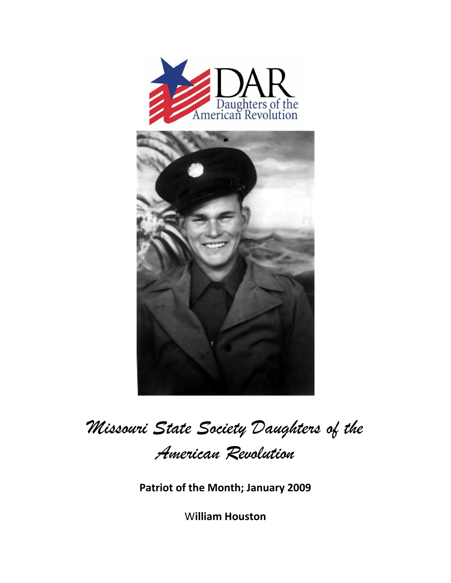



Missouri State Society Daughters of the American Revolution

Patriot of the Month; January 2009

**William Houston**